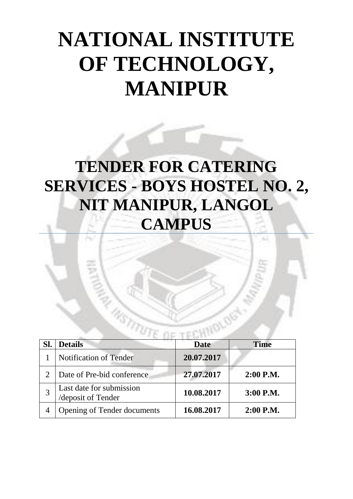# **NATIONAL INSTITUTE OF TECHNOLOGY, MANIPUR**

# **TENDER FOR CATERING SERVICES - BOYS HOSTEL NO. 2, NIT MANIPUR, LANGOL CAMPUS**

| <b>Details</b>                                 | <b>Date</b> | <b>Time</b> |
|------------------------------------------------|-------------|-------------|
| <b>Notification of Tender</b>                  | 20.07.2017  |             |
| Date of Pre-bid conference                     | 27.07.2017  | $2:00$ P.M. |
| Last date for submission<br>/deposit of Tender | 10.08.2017  | 3:00 P.M.   |
| <b>Opening of Tender documents</b>             | 16.08.2017  | $2:00$ P.M. |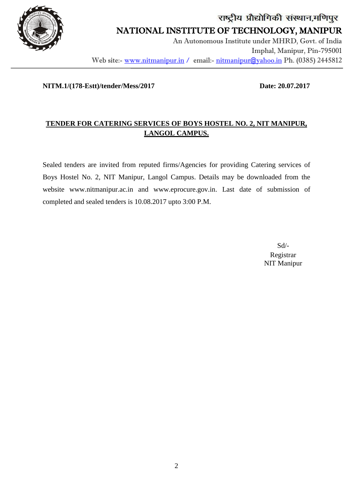

## राष्ट्रीय प्रौद्योगिकी संस्थान,मणिपुर NATIONAL INSTITUTE OF TECHNOLOGY, MANIPUR An Autonomous Institute under MHRD, Govt. of India Imphal, Manipur, Pin-795001

Web site:- www.nitmanipur.in / email:- nitmanipur@yahoo.in Ph. (0385) 2445812

#### **NITM.1/(178-Estt)/tender/Mess/2017 Date: 20.07.2017**

j

### **TENDER FOR CATERING SERVICES OF BOYS HOSTEL NO. 2, NIT MANIPUR, LANGOL CAMPUS.**

Sealed tenders are invited from reputed firms/Agencies for providing Catering services of Boys Hostel No. 2, NIT Manipur, Langol Campus. Details may be downloaded from the website [www.nitmanipur.ac.in](http://www.nitmanipur.ac.in/) and www.eprocure.gov.in. Last date of submission of completed and sealed tenders is 10.08.2017 upto 3:00 P.M.

> Sd/- Registrar NIT Manipur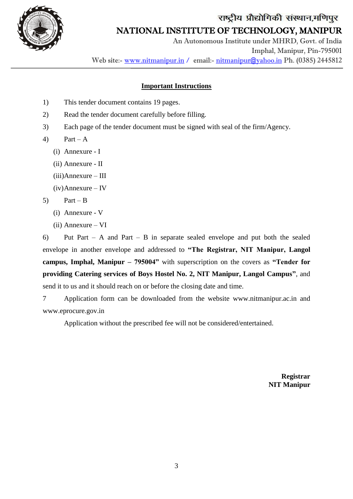

NATIONAL INSTITUTE OF TECHNOLOGY, MANIPUR

 An Autonomous Institute under MHRD, Govt. of India Imphal, Manipur, Pin-795001 Web site:- www.nitmanipur.in / email:- nitmanipur@yahoo.in Ph. (0385) 2445812

#### **Important Instructions**

- 1) This tender document contains 19 pages.
- 2) Read the tender document carefully before filling.
- 3) Each page of the tender document must be signed with seal of the firm/Agency.
- 4) Part A
	- (i) Annexure I

j

- (ii) Annexure II
- (iii)Annexure III
- (iv)Annexure IV
- 5) Part B
	- (i) Annexure V
	- (ii) Annexure VI

6) Put Part – A and Part – B in separate sealed envelope and put both the sealed envelope in another envelope and addressed to **"The Registrar, NIT Manipur, Langol campus, Imphal, Manipur – 795004"** with superscription on the covers as **"Tender for providing Catering services of Boys Hostel No. 2, NIT Manipur, Langol Campus"**, and send it to us and it should reach on or before the closing date and time.

7 Application form can be downloaded from the website [www.nitmanipur.ac.in](http://www.nitmanipur.ac.in/) and [www.eprocure.gov.in](http://www.eprocure.gov.in/)

Application without the prescribed fee will not be considered/entertained.

**Registrar NIT Manipur**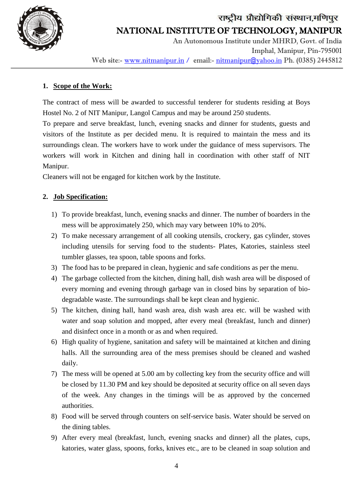

 An Autonomous Institute under MHRD, Govt. of India Imphal, Manipur, Pin-795001 Web site:- www.nitmanipur.in / email:- nitmanipur@yahoo.in Ph. (0385) 2445812

#### **1. Scope of the Work:**

j

The contract of mess will be awarded to successful tenderer for students residing at Boys Hostel No. 2 of NIT Manipur, Langol Campus and may be around 250 students.

To prepare and serve breakfast, lunch, evening snacks and dinner for students, guests and visitors of the Institute as per decided menu. It is required to maintain the mess and its surroundings clean. The workers have to work under the guidance of mess supervisors. The workers will work in Kitchen and dining hall in coordination with other staff of NIT Manipur.

Cleaners will not be engaged for kitchen work by the Institute.

### **2. Job Specification:**

- 1) To provide breakfast, lunch, evening snacks and dinner. The number of boarders in the mess will be approximately 250, which may vary between 10% to 20%.
- 2) To make necessary arrangement of all cooking utensils, crockery, gas cylinder, stoves including utensils for serving food to the students- Plates, Katories, stainless steel tumbler glasses, tea spoon, table spoons and forks.
- 3) The food has to be prepared in clean, hygienic and safe conditions as per the menu.
- 4) The garbage collected from the kitchen, dining hall, dish wash area will be disposed of every morning and evening through garbage van in closed bins by separation of biodegradable waste. The surroundings shall be kept clean and hygienic.
- 5) The kitchen, dining hall, hand wash area, dish wash area etc. will be washed with water and soap solution and mopped, after every meal (breakfast, lunch and dinner) and disinfect once in a month or as and when required.
- 6) High quality of hygiene, sanitation and safety will be maintained at kitchen and dining halls. All the surrounding area of the mess premises should be cleaned and washed daily.
- 7) The mess will be opened at 5.00 am by collecting key from the security office and will be closed by 11.30 PM and key should be deposited at security office on all seven days of the week. Any changes in the timings will be as approved by the concerned authorities.
- 8) Food will be served through counters on self-service basis. Water should be served on the dining tables.
- 9) After every meal (breakfast, lunch, evening snacks and dinner) all the plates, cups, katories, water glass, spoons, forks, knives etc., are to be cleaned in soap solution and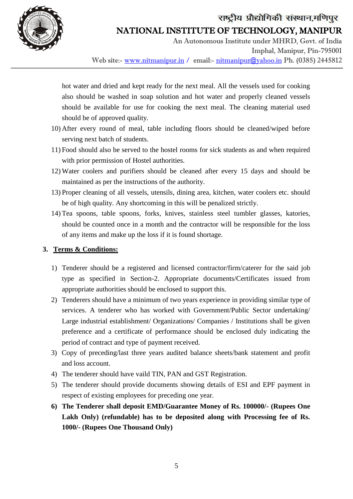



## NATIONAL INSTITUTE OF TECHNOLOGY, MANIPUR

 An Autonomous Institute under MHRD, Govt. of India Imphal, Manipur, Pin-795001 Web site:- www.nitmanipur.in / email:- nitmanipur@yahoo.in Ph. (0385) 2445812

hot water and dried and kept ready for the next meal. All the vessels used for cooking also should be washed in soap solution and hot water and properly cleaned vessels should be available for use for cooking the next meal. The cleaning material used should be of approved quality.

- 10) After every round of meal, table including floors should be cleaned/wiped before serving next batch of students.
- 11) Food should also be served to the hostel rooms for sick students as and when required with prior permission of Hostel authorities.
- 12) Water coolers and purifiers should be cleaned after every 15 days and should be maintained as per the instructions of the authority.
- 13) Proper cleaning of all vessels, utensils, dining area, kitchen, water coolers etc. should be of high quality. Any shortcoming in this will be penalized strictly.
- 14) Tea spoons, table spoons, forks, knives, stainless steel tumbler glasses, katories, should be counted once in a month and the contractor will be responsible for the loss of any items and make up the loss if it is found shortage.

#### **3. Terms & Conditions:**

j

- 1) Tenderer should be a registered and licensed contractor/firm/caterer for the said job type as specified in Section-2. Appropriate documents/Certificates issued from appropriate authorities should be enclosed to support this.
- 2) Tenderers should have a minimum of two years experience in providing similar type of services. A tenderer who has worked with Government/Public Sector undertaking/ Large industrial establishment/ Organizations/ Companies / Institutions shall be given preference and a certificate of performance should be enclosed duly indicating the period of contract and type of payment received.
- 3) Copy of preceding/last three years audited balance sheets/bank statement and profit and loss account.
- 4) The tenderer should have vaild TIN, PAN and GST Registration.
- 5) The tenderer should provide documents showing details of ESI and EPF payment in respect of existing employees for preceding one year.
- **6) The Tenderer shall deposit EMD/Guarantee Money of Rs. 100000/- (Rupees One Lakh Only) (refundable) has to be deposited along with Processing fee of Rs. 1000/- (Rupees One Thousand Only)**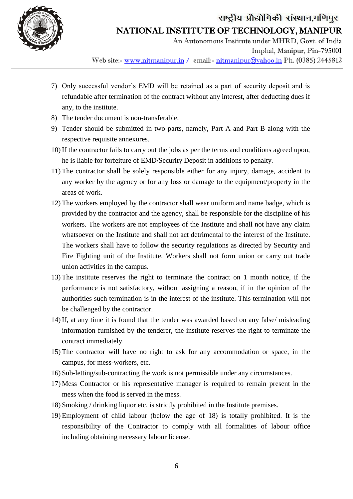

NATIONAL INSTITUTE OF TECHNOLOGY, MANIPUR

 An Autonomous Institute under MHRD, Govt. of India Imphal, Manipur, Pin-795001 Web site:- www.nitmanipur.in / email:- nitmanipur@yahoo.in Ph. (0385) 2445812

- 7) Only successful vendor's EMD will be retained as a part of security deposit and is refundable after termination of the contract without any interest, after deducting dues if any, to the institute.
- 8) The tender document is non-transferable.

j

- 9) Tender should be submitted in two parts, namely, Part A and Part B along with the respective requisite annexures.
- 10) If the contractor fails to carry out the jobs as per the terms and conditions agreed upon, he is liable for forfeiture of EMD/Security Deposit in additions to penalty.
- 11) The contractor shall be solely responsible either for any injury, damage, accident to any worker by the agency or for any loss or damage to the equipment/property in the areas of work.
- 12) The workers employed by the contractor shall wear uniform and name badge, which is provided by the contractor and the agency, shall be responsible for the discipline of his workers. The workers are not employees of the Institute and shall not have any claim whatsoever on the Institute and shall not act detrimental to the interest of the Institute. The workers shall have to follow the security regulations as directed by Security and Fire Fighting unit of the Institute. Workers shall not form union or carry out trade union activities in the campus.
- 13) The institute reserves the right to terminate the contract on 1 month notice, if the performance is not satisfactory, without assigning a reason, if in the opinion of the authorities such termination is in the interest of the institute. This termination will not be challenged by the contractor.
- 14) If, at any time it is found that the tender was awarded based on any false/ misleading information furnished by the tenderer, the institute reserves the right to terminate the contract immediately.
- 15) The contractor will have no right to ask for any accommodation or space, in the campus, for mess-workers, etc.
- 16) Sub-letting/sub-contracting the work is not permissible under any circumstances.
- 17) Mess Contractor or his representative manager is required to remain present in the mess when the food is served in the mess.
- 18) Smoking / drinking liquor etc. is strictly prohibited in the Institute premises.
- 19) Employment of child labour (below the age of 18) is totally prohibited. It is the responsibility of the Contractor to comply with all formalities of labour office including obtaining necessary labour license.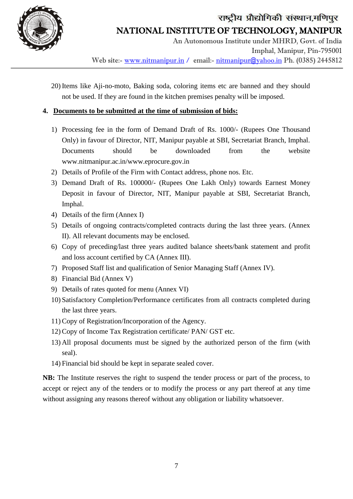

 An Autonomous Institute under MHRD, Govt. of India Imphal, Manipur, Pin-795001 Web site:- www.nitmanipur.in / email:- nitmanipur@yahoo.in Ph. (0385) 2445812

20) Items like Aji-no-moto, Baking soda, coloring items etc are banned and they should not be used. If they are found in the kitchen premises penalty will be imposed.

#### **4. Documents to be submitted at the time of submission of bids:**

- 1) Processing fee in the form of Demand Draft of Rs. 1000/- (Rupees One Thousand Only) in favour of Director, NIT, Manipur payable at SBI, Secretariat Branch, Imphal. Documents should be downloaded from the website [www.nitmanipur.ac.in/](http://www.nitmanipur.ac.in/)www.eprocure.gov.in
- 2) Details of Profile of the Firm with Contact address, phone nos. Etc.
- 3) Demand Draft of Rs. 100000/- (Rupees One Lakh Only) towards Earnest Money Deposit in favour of Director, NIT, Manipur payable at SBI, Secretariat Branch, Imphal.
- 4) Details of the firm (Annex I)

j

- 5) Details of ongoing contracts/completed contracts during the last three years. (Annex II). All relevant documents may be enclosed.
- 6) Copy of preceding/last three years audited balance sheets/bank statement and profit and loss account certified by CA (Annex III).
- 7) Proposed Staff list and qualification of Senior Managing Staff (Annex IV).
- 8) Financial Bid (Annex V)
- 9) Details of rates quoted for menu (Annex VI)
- 10) Satisfactory Completion/Performance certificates from all contracts completed during the last three years.
- 11)Copy of Registration/Incorporation of the Agency.
- 12)Copy of Income Tax Registration certificate/ PAN/ GST etc.
- 13) All proposal documents must be signed by the authorized person of the firm (with seal).
- 14) Financial bid should be kept in separate sealed cover.

**NB:** The Institute reserves the right to suspend the tender process or part of the process, to accept or reject any of the tenders or to modify the process or any part thereof at any time without assigning any reasons thereof without any obligation or liability whatsoever.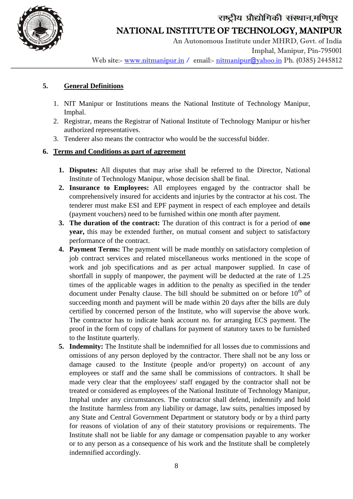



NATIONAL INSTITUTE OF TECHNOLOGY, MANIPUR

 An Autonomous Institute under MHRD, Govt. of India Imphal, Manipur, Pin-795001 Web site:- www.nitmanipur.in / email:- nitmanipur@yahoo.in Ph. (0385) 2445812

#### **5. General Definitions**

j

- 1. NIT Manipur or Institutions means the National Institute of Technology Manipur, Imphal.
- 2. Registrar, means the Registrar of National Institute of Technology Manipur or his/her authorized representatives.
- 3. Tenderer also means the contractor who would be the successful bidder.

#### **6. Terms and Conditions as part of agreement**

- **1. Disputes:** All disputes that may arise shall be referred to the Director, National Institute of Technology Manipur, whose decision shall be final.
- **2. Insurance to Employees:** All employees engaged by the contractor shall be comprehensively insured for accidents and injuries by the contractor at his cost. The tenderer must make ESI and EPF payment in respect of each employee and details (payment vouchers) need to be furnished within one month after payment.
- **3. The duration of the contract:** The duration of this contract is for a period of **one year,** this may be extended further, on mutual consent and subject to satisfactory performance of the contract.
- **4. Payment Terms:** The payment will be made monthly on satisfactory completion of job contract services and related miscellaneous works mentioned in the scope of work and job specifications and as per actual manpower supplied. In case of shortfall in supply of manpower, the payment will be deducted at the rate of 1.25 times of the applicable wages in addition to the penalty as specified in the tender document under Penalty clause. The bill should be submitted on or before  $10<sup>th</sup>$  of succeeding month and payment will be made within 20 days after the bills are duly certified by concerned person of the Institute, who will supervise the above work. The contractor has to indicate bank account no. for arranging ECS payment. The proof in the form of copy of challans for payment of statutory taxes to be furnished to the Institute quarterly.
- **5. Indemnity:** The Institute shall be indemnified for all losses due to commissions and omissions of any person deployed by the contractor. There shall not be any loss or damage caused to the Institute (people and/or property) on account of any employees or staff and the same shall be commissions of contractors. It shall be made very clear that the employees/ staff engaged by the contractor shall not be treated or considered as employees of the National Institute of Technology Manipur, Imphal under any circumstances. The contractor shall defend, indemnify and hold the Institute harmless from any liability or damage, law suits, penalties imposed by any State and Central Government Department or statutory body or by a third party for reasons of violation of any of their statutory provisions or requirements. The Institute shall not be liable for any damage or compensation payable to any worker or to any person as a consequence of his work and the Institute shall be completely indemnified accordingly.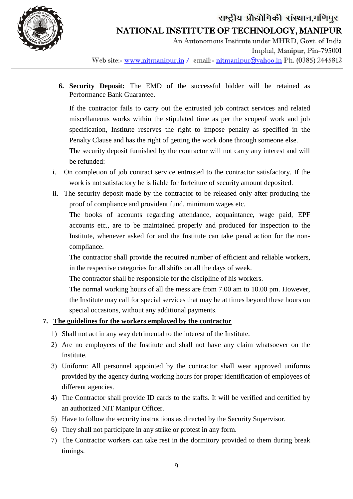

# राष्ट्रीय प्रौद्योगिकी संस्थान,मणिपुर NATIONAL INSTITUTE OF TECHNOLOGY, MANIPUR

 An Autonomous Institute under MHRD, Govt. of India Imphal, Manipur, Pin-795001 Web site:- www.nitmanipur.in / email:- nitmanipur@yahoo.in Ph. (0385) 2445812

**6. Security Deposit:** The EMD of the successful bidder will be retained as Performance Bank Guarantee.

If the contractor fails to carry out the entrusted job contract services and related miscellaneous works within the stipulated time as per the scopeof work and job specification, Institute reserves the right to impose penalty as specified in the Penalty Clause and has the right of getting the work done through someone else.

The security deposit furnished by the contractor will not carry any interest and will be refunded:-

- i. On completion of job contract service entrusted to the contractor satisfactory. If the work is not satisfactory he is liable for forfeiture of security amount deposited.
- ii. The security deposit made by the contractor to be released only after producing the proof of compliance and provident fund, minimum wages etc.

The books of accounts regarding attendance, acquaintance, wage paid, EPF accounts etc., are to be maintained properly and produced for inspection to the Institute, whenever asked for and the Institute can take penal action for the noncompliance.

The contractor shall provide the required number of efficient and reliable workers, in the respective categories for all shifts on all the days of week.

The contractor shall be responsible for the discipline of his workers.

The normal working hours of all the mess are from 7.00 am to 10.00 pm. However, the Institute may call for special services that may be at times beyond these hours on special occasions, without any additional payments.

#### **7. The guidelines for the workers employed by the contractor**

- 1) Shall not act in any way detrimental to the interest of the Institute.
- 2) Are no employees of the Institute and shall not have any claim whatsoever on the Institute.
- 3) Uniform: All personnel appointed by the contractor shall wear approved uniforms provided by the agency during working hours for proper identification of employees of different agencies.
- 4) The Contractor shall provide ID cards to the staffs. It will be verified and certified by an authorized NIT Manipur Officer.
- 5) Have to follow the security instructions as directed by the Security Supervisor.
- 6) They shall not participate in any strike or protest in any form.
- 7) The Contractor workers can take rest in the dormitory provided to them during break timings.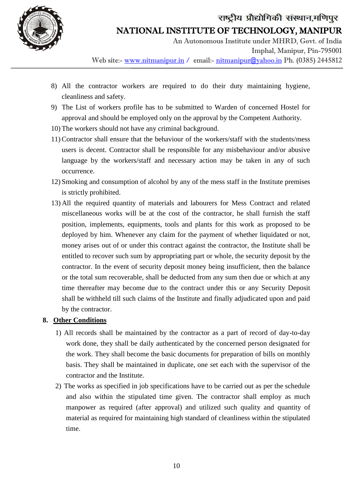

# राष्ट्रीय प्रौद्योगिकी संस्थान,मणिपुर NATIONAL INSTITUTE OF TECHNOLOGY, MANIPUR

 An Autonomous Institute under MHRD, Govt. of India Imphal, Manipur, Pin-795001 Web site:- www.nitmanipur.in / email:- nitmanipur@yahoo.in Ph. (0385) 2445812

- 8) All the contractor workers are required to do their duty maintaining hygiene, cleanliness and safety.
- 9) The List of workers profile has to be submitted to Warden of concerned Hostel for approval and should be employed only on the approval by the Competent Authority.
- 10) The workers should not have any criminal background.
- 11)Contractor shall ensure that the behaviour of the workers/staff with the students/mess users is decent. Contractor shall be responsible for any misbehaviour and/or abusive language by the workers/staff and necessary action may be taken in any of such occurrence.
- 12) Smoking and consumption of alcohol by any of the mess staff in the Institute premises is strictly prohibited.
- 13) All the required quantity of materials and labourers for Mess Contract and related miscellaneous works will be at the cost of the contractor, he shall furnish the staff position, implements, equipments, tools and plants for this work as proposed to be deployed by him. Whenever any claim for the payment of whether liquidated or not, money arises out of or under this contract against the contractor, the Institute shall be entitled to recover such sum by appropriating part or whole, the security deposit by the contractor. In the event of security deposit money being insufficient, then the balance or the total sum recoverable, shall be deducted from any sum then due or which at any time thereafter may become due to the contract under this or any Security Deposit shall be withheld till such claims of the Institute and finally adjudicated upon and paid by the contractor.

#### **8. Other Conditions**

- 1) All records shall be maintained by the contractor as a part of record of day-to-day work done, they shall be daily authenticated by the concerned person designated for the work. They shall become the basic documents for preparation of bills on monthly basis. They shall be maintained in duplicate, one set each with the supervisor of the contractor and the Institute.
- 2) The works as specified in job specifications have to be carried out as per the schedule and also within the stipulated time given. The contractor shall employ as much manpower as required (after approval) and utilized such quality and quantity of material as required for maintaining high standard of cleanliness within the stipulated time.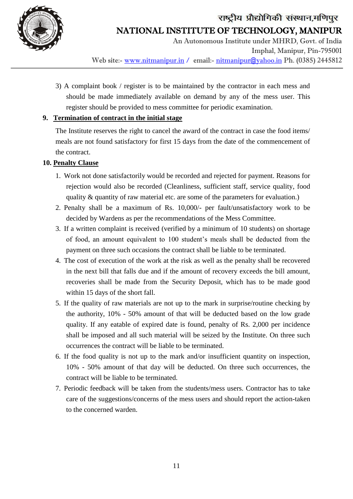

 An Autonomous Institute under MHRD, Govt. of India Imphal, Manipur, Pin-795001 Web site:- www.nitmanipur.in / email:- nitmanipur@yahoo.in Ph. (0385) 2445812

3) A complaint book / register is to be maintained by the contractor in each mess and should be made immediately available on demand by any of the mess user. This register should be provided to mess committee for periodic examination.

#### **9. Termination of contract in the initial stage**

The Institute reserves the right to cancel the award of the contract in case the food items/ meals are not found satisfactory for first 15 days from the date of the commencement of the contract.

#### **10. Penalty Clause**

j

- 1. Work not done satisfactorily would be recorded and rejected for payment. Reasons for rejection would also be recorded (Cleanliness, sufficient staff, service quality, food quality & quantity of raw material etc. are some of the parameters for evaluation.)
- 2. Penalty shall be a maximum of Rs. 10,000/- per fault/unsatisfactory work to be decided by Wardens as per the recommendations of the Mess Committee.
- 3. If a written complaint is received (verified by a minimum of 10 students) on shortage of food, an amount equivalent to 100 student's meals shall be deducted from the payment on three such occasions the contract shall be liable to be terminated.
- 4. The cost of execution of the work at the risk as well as the penalty shall be recovered in the next bill that falls due and if the amount of recovery exceeds the bill amount, recoveries shall be made from the Security Deposit, which has to be made good within 15 days of the short fall.
- 5. If the quality of raw materials are not up to the mark in surprise/routine checking by the authority, 10% - 50% amount of that will be deducted based on the low grade quality. If any eatable of expired date is found, penalty of Rs. 2,000 per incidence shall be imposed and all such material will be seized by the Institute. On three such occurrences the contract will be liable to be terminated.
- 6. If the food quality is not up to the mark and/or insufficient quantity on inspection, 10% - 50% amount of that day will be deducted. On three such occurrences, the contract will be liable to be terminated.
- 7. Periodic feedback will be taken from the students/mess users. Contractor has to take care of the suggestions/concerns of the mess users and should report the action-taken to the concerned warden.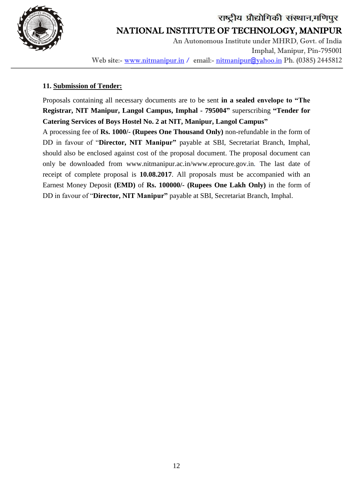

 An Autonomous Institute under MHRD, Govt. of India Imphal, Manipur, Pin-795001 Web site:- www.nitmanipur.in / email:- nitmanipur@yahoo.in Ph. (0385) 2445812

#### **11. Submission of Tender:**

j

Proposals containing all necessary documents are to be sent **in a sealed envelope to "The Registrar, NIT Manipur, Langol Campus, Imphal - 795004"** superscribing **"Tender for Catering Services of Boys Hostel No. 2 at NIT, Manipur, Langol Campus"**

A processing fee of **Rs. 1000/- (Rupees One Thousand Only)** non-refundable in the form of DD in favour of "**Director, NIT Manipur"** payable at SBI, Secretariat Branch, Imphal, should also be enclosed against cost of the proposal document. The proposal document can only be downloaded from www.nitmanipur.ac.in/www.eprocure.gov.in*.* The last date of receipt of complete proposal is **10.08.2017**. All proposals must be accompanied with an Earnest Money Deposit **(EMD)** of **Rs. 100000/- (Rupees One Lakh Only)** in the form of DD in favour of "**Director, NIT Manipur"** payable at SBI, Secretariat Branch, Imphal.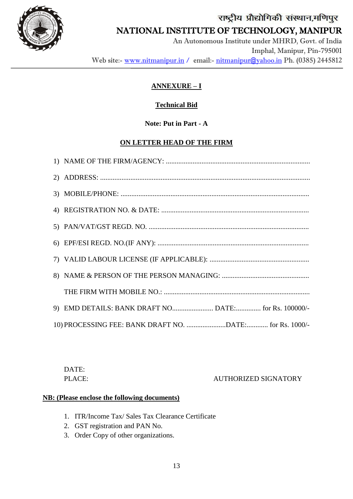

j

## NATIONAL INSTITUTE OF TECHNOLOGY, MANIPUR

 An Autonomous Institute under MHRD, Govt. of India Imphal, Manipur, Pin-795001 Web site:- www.nitmanipur.in / email:- nitmanipur@yahoo.in Ph. (0385) 2445812

## **ANNEXURE – I**

## **Technical Bid**

## **Note: Put in Part - A**

## **ON LETTER HEAD OF THE FIRM**

DATE:

PLACE: AUTHORIZED SIGNATORY

#### **NB: (Please enclose the following documents)**

- 1. ITR/Income Tax/ Sales Tax Clearance Certificate
- 2. GST registration and PAN No.
- 3. Order Copy of other organizations.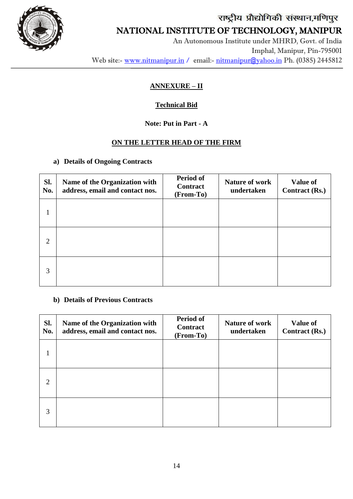

## NATIONAL INSTITUTE OF TECHNOLOGY, MANIPUR

 An Autonomous Institute under MHRD, Govt. of India Imphal, Manipur, Pin-795001 Web site:- www.nitmanipur.in / email:- nitmanipur@yahoo.in Ph. (0385) 2445812

## **ANNEXURE – II**

## **Technical Bid**

## **Note: Put in Part - A**

## **ON THE LETTER HEAD OF THE FIRM**

### **a) Details of Ongoing Contracts**

j

| Sl.<br>No.     | Name of the Organization with<br>address, email and contact nos. | Period of<br><b>Contract</b><br>(From-To) | <b>Nature of work</b><br>undertaken | <b>Value of</b><br><b>Contract (Rs.)</b> |
|----------------|------------------------------------------------------------------|-------------------------------------------|-------------------------------------|------------------------------------------|
|                |                                                                  |                                           |                                     |                                          |
| $\overline{2}$ |                                                                  |                                           |                                     |                                          |
| 3              |                                                                  |                                           |                                     |                                          |

#### **b) Details of Previous Contracts**

| Sl.<br>No.     | Name of the Organization with<br>address, email and contact nos. | Period of<br><b>Contract</b><br>(From-To) | <b>Nature of work</b><br>undertaken | <b>Value of</b><br><b>Contract (Rs.)</b> |
|----------------|------------------------------------------------------------------|-------------------------------------------|-------------------------------------|------------------------------------------|
| 1              |                                                                  |                                           |                                     |                                          |
| $\overline{2}$ |                                                                  |                                           |                                     |                                          |
| 3              |                                                                  |                                           |                                     |                                          |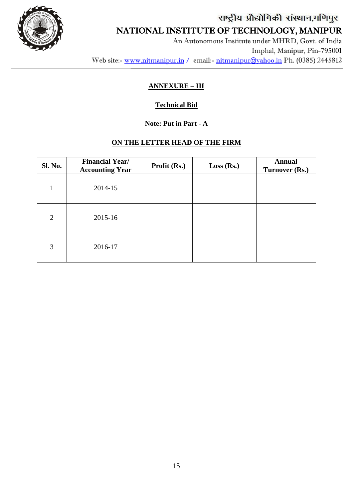

j

## NATIONAL INSTITUTE OF TECHNOLOGY, MANIPUR

 An Autonomous Institute under MHRD, Govt. of India Imphal, Manipur, Pin-795001 Web site:- www.nitmanipur.in / email:- nitmanipur@yahoo.in Ph. (0385) 2445812

## **ANNEXURE – III**

## **Technical Bid**

### **Note: Put in Part - A**

### **ON THE LETTER HEAD OF THE FIRM**

| <b>Sl. No.</b> | <b>Financial Year/</b><br><b>Accounting Year</b> | Profit (Rs.) | Loss (Rs.) | <b>Annual</b><br>Turnover (Rs.) |
|----------------|--------------------------------------------------|--------------|------------|---------------------------------|
| 1              | 2014-15                                          |              |            |                                 |
| 2              | 2015-16                                          |              |            |                                 |
| 3              | 2016-17                                          |              |            |                                 |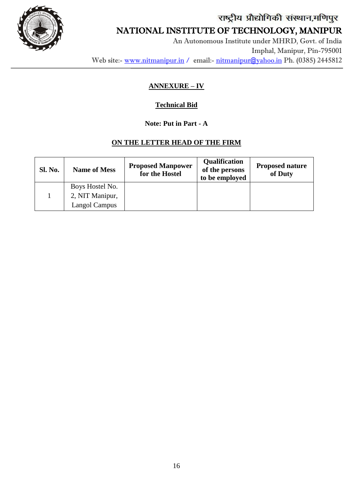

j

## NATIONAL INSTITUTE OF TECHNOLOGY, MANIPUR

 An Autonomous Institute under MHRD, Govt. of India Imphal, Manipur, Pin-795001 Web site:- www.nitmanipur.in / email:- nitmanipur@yahoo.in Ph. (0385) 2445812

## **ANNEXURE – IV**

## **Technical Bid**

## **Note: Put in Part - A**

## **ON THE LETTER HEAD OF THE FIRM**

| <b>Sl. No.</b> | <b>Name of Mess</b> | <b>Proposed Manpower</b><br>for the Hostel | <b>Qualification</b><br>of the persons<br>to be employed | <b>Proposed nature</b><br>of Duty |
|----------------|---------------------|--------------------------------------------|----------------------------------------------------------|-----------------------------------|
|                | Boys Hostel No.     |                                            |                                                          |                                   |
|                | 2, NIT Manipur,     |                                            |                                                          |                                   |
|                | Langol Campus       |                                            |                                                          |                                   |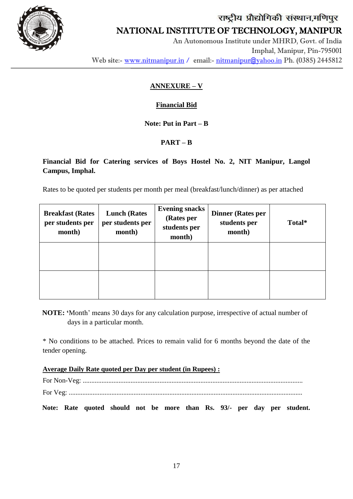

# राष्ट्रीय प्रौद्योगिकी संस्थान,मणिपुर NATIONAL INSTITUTE OF TECHNOLOGY, MANIPUR

 An Autonomous Institute under MHRD, Govt. of India Imphal, Manipur, Pin-795001 Web site:- www.nitmanipur.in / email:- nitmanipur@yahoo.in Ph. (0385) 2445812

## **ANNEXURE – V**

## **Financial Bid**

## **Note: Put in Part – B**

## **PART – B**

## **Financial Bid for Catering services of Boys Hostel No. 2, NIT Manipur, Langol Campus, Imphal.**

Rates to be quoted per students per month per meal (breakfast/lunch/dinner) as per attached

| <b>Breakfast (Rates</b><br>per students per<br>month) | <b>Lunch (Rates)</b><br>per students per<br>month) | <b>Evening snacks</b><br>(Rates per<br>students per<br>month) | <b>Dinner (Rates per</b><br>students per<br>month) | Total* |
|-------------------------------------------------------|----------------------------------------------------|---------------------------------------------------------------|----------------------------------------------------|--------|
|                                                       |                                                    |                                                               |                                                    |        |
|                                                       |                                                    |                                                               |                                                    |        |

**NOTE: "**Month' means 30 days for any calculation purpose, irrespective of actual number of days in a particular month.

\* No conditions to be attached. Prices to remain valid for 6 months beyond the date of the tender opening.

#### **Average Daily Rate quoted per Day per student (in Rupees) :**

For Non-Veg: ................................................................................................................................. For Veg: .........................................................................................................................................

**Note: Rate quoted should not be more than Rs. 93/- per day per student.**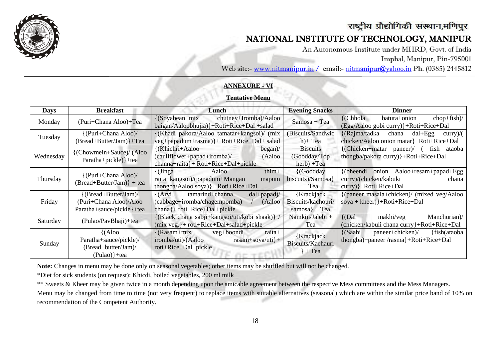

I

## राष्ट्रीय प्रौद्योगिकी संस्थान,मणिपुर

## NATIONAL INSTITUTE OF TECHNOLOGY, MANIPUR

An Autonomous Institute under MHRD, Govt. of India

Imphal, Manipur, Pin-795001

Web site:- www.nitmanipur.in / email:- [nitmanipur@yahoo.in](mailto:nitmanipur@yahoo.in) Ph. (0385) 2445812

#### **ANNEXURE - VI**

#### **Tentative Menu**

| <b>Days</b> | <b>Breakfast</b>                                                                              | Lunch                                                                                                                              | <b>Evening Snacks</b>                                 | <b>Dinner</b>                                                                                                    |
|-------------|-----------------------------------------------------------------------------------------------|------------------------------------------------------------------------------------------------------------------------------------|-------------------------------------------------------|------------------------------------------------------------------------------------------------------------------|
| Monday      | (Puri+Chana Aloo)+Tea                                                                         | chutney+Iromba)/Aaloo<br>$\{ (Soyabean + mix)$<br>baigan/Aaloobhujia)}+Roti+Rice+Dal +salad                                        | Samosa + Tea                                          | $\{(\text{Chhola})\}$<br>$chop+fish$<br>batura+onion<br>(Egg/Aaloo gobi curry)}+Roti+Rice+Dal                    |
| Tuesday     | {(Puri+Chana Aloo)/<br>(Bread+Butter/Jam)}+Tea                                                | (Khadi pakora/Aaloo tamatar+kangsoi)/ (mix<br>veg+papadum+rasma)}+ Roti+Rice+Dal+ salad                                            | (Biscuits/Sandwic<br>$h$ + Tea                        | {(Rajma/tadka chana<br>$dal + Egg$<br>curry)/(<br>chicken/Aaloo onion matar}+Roti+Rice+Dal                       |
| Wednesday   | {(Chowmein+Sauce)/ (Aloo<br>Paratha+pickle) }+tea                                             | {(Khichri+Aaloo<br>begin)<br>----<br>$(caulif lower+papad+iromba)$<br>(Aaloo<br>channa+raita}+ Roti+Rice+Dal+pickle                | <b>Biscuits</b><br>(Goodday/Top)<br>$herb) + Tea$     | $\{$ (Chicken+matar paneer) $/$ (<br>fish<br>ataoba<br>thongba/pakora curry) }+Roti+Rice+Dal                     |
| Thursday    | {(Puri+Chana Aloo)/<br>$(Bread + Butter/Jam)$ + tea                                           | $thim+$<br>(Jinga<br>Aaloo<br>raita+kangsoi)/(papadum+Mangan<br>mapum<br>thongba/Aaloo soya) }+ Roti+Rice+Dal                      | $\{ (Good day)$<br>biscuits)/Samosa<br>$+$ Tea        | onion Aaloo+resam+papad+Egg<br>$\{$ (bheendi<br>curry)/(chicken/kabuki<br>chana<br>$curry$ } + Roti + Rice + Dal |
| Friday      | $\{(\text{Bread}+\text{Butter/Jam})\}$<br>(Puri+Chana Aloo)/Aloo<br>Paratha+sauce/pickle}+tea | tamarind+channa<br>${(Arvi)}$<br>$dal + papad$<br>(cabbage+iromba/chagempomba)<br>(Aaloo<br>$channel + roti + Rice + Dal + pickle$ | {Krackjack<br>Biscuits/kachouri/<br>samosa $\}$ + Tea | {(paneer masala+chicken)/ (mixed veg/Aaloo                                                                       |
| Saturday    | (Pulao/PavBhaji)+tea                                                                          | {(Black chana sabji+kangsoi/uti/kobi shaak)} /<br>$(mix \vee eg.)+roti+Rice+Dal+salad+pickle$                                      | Namkin/Jalebi +<br>Tea                                | makhi/veg<br>Manchurian)/<br>${Dal}$<br>(chicken/kabuli chana curry}+Roti+Rice+Dal                               |
| Sunday      | $\{({\rm A}$ loo<br>Paratha+sauce/pickle)/<br>(Bread+butter/Jam)/<br>$(Pulao)$ + tea          | veg+boondi<br>raita+<br>$\{(\text{Rasam}+\text{mix})\}$<br>$rasam+soya/uti$ +<br>iromba/uti)/(Aaloo<br>roti+Rice+Dal+pickle        | {Krackjack<br>Biscuits/Kachauri<br>$+$ Tea            | {(Saahi<br>paneer+chicken)/<br>{fish(ataoba}<br>thongba)+paneer/rasma}+Roti+Rice+Dal                             |

**Note:** Changes in menu may be done only on seasonal vegetables; other items may be shuffled but will not be changed.

\*Diet for sick students (on request): Khicdi, boiled vegetables, 200 ml milk

\*\* Sweets & Kheer may be given twice in a month depending upon the amicable agreement between the respective Mess committees and the Mess Managers.

Menu may be changed from time to time (not very frequent) to replace items with suitable alternatives (seasonal) which are within the similar price band of 10% on recommendation of the Competent Authority.